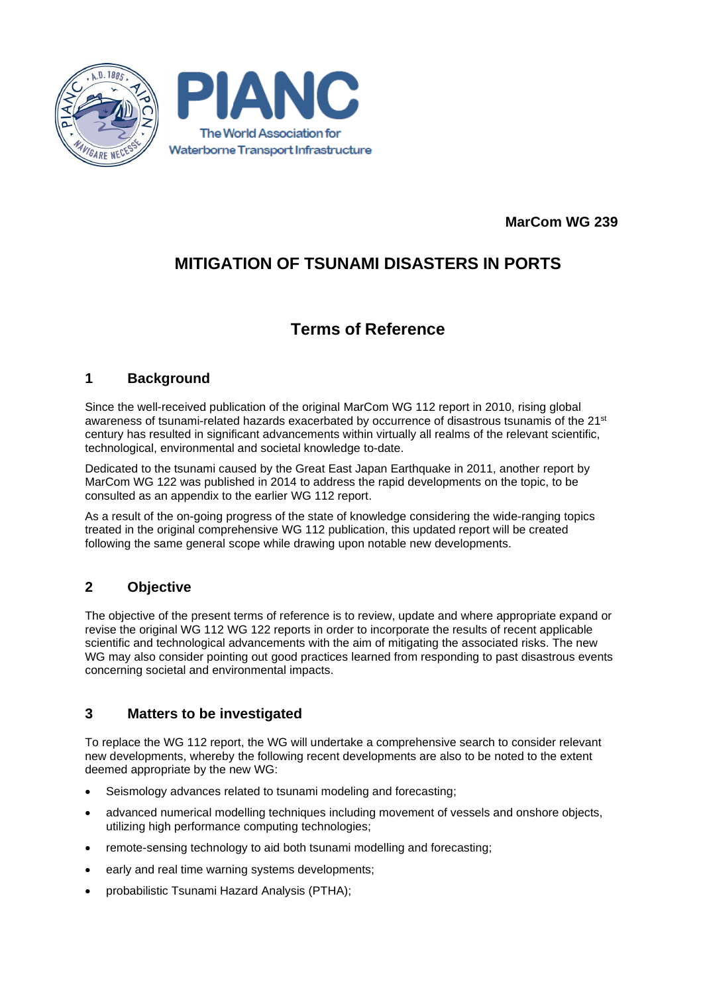



**MarCom WG 239**

# **MITIGATION OF TSUNAMI DISASTERS IN PORTS**

# **Terms of Reference**

## **1 Background**

Since the well-received publication of the original MarCom WG 112 report in 2010, rising global awareness of tsunami-related hazards exacerbated by occurrence of disastrous tsunamis of the 21st century has resulted in significant advancements within virtually all realms of the relevant scientific, technological, environmental and societal knowledge to-date.

Dedicated to the tsunami caused by the Great East Japan Earthquake in 2011, another report by MarCom WG 122 was published in 2014 to address the rapid developments on the topic, to be consulted as an appendix to the earlier WG 112 report.

As a result of the on-going progress of the state of knowledge considering the wide-ranging topics treated in the original comprehensive WG 112 publication, this updated report will be created following the same general scope while drawing upon notable new developments.

# **2 Objective**

The objective of the present terms of reference is to review, update and where appropriate expand or revise the original WG 112 WG 122 reports in order to incorporate the results of recent applicable scientific and technological advancements with the aim of mitigating the associated risks. The new WG may also consider pointing out good practices learned from responding to past disastrous events concerning societal and environmental impacts.

## **3 Matters to be investigated**

To replace the WG 112 report, the WG will undertake a comprehensive search to consider relevant new developments, whereby the following recent developments are also to be noted to the extent deemed appropriate by the new WG:

- Seismology advances related to tsunami modeling and forecasting;
- advanced numerical modelling techniques including movement of vessels and onshore objects, utilizing high performance computing technologies;
- remote-sensing technology to aid both tsunami modelling and forecasting;
- early and real time warning systems developments;
- probabilistic Tsunami Hazard Analysis (PTHA);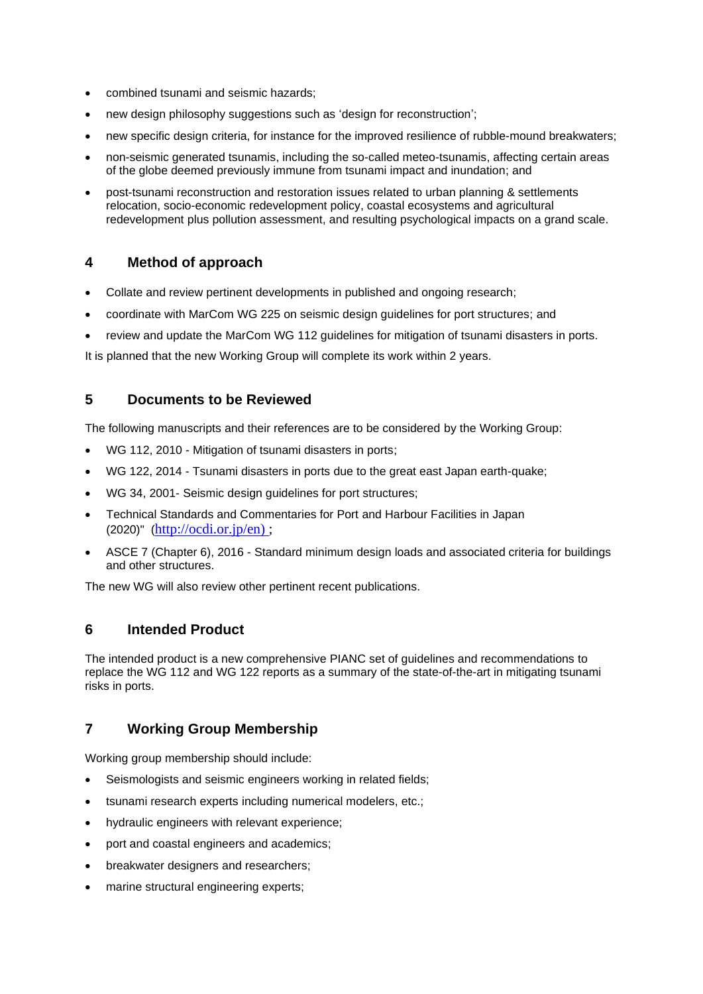- combined tsunami and seismic hazards;
- new design philosophy suggestions such as 'design for reconstruction';
- new specific design criteria, for instance for the improved resilience of rubble-mound breakwaters;
- non-seismic generated tsunamis, including the so-called meteo-tsunamis, affecting certain areas of the globe deemed previously immune from tsunami impact and inundation; and
- post-tsunami reconstruction and restoration issues related to urban planning & settlements relocation, socio-economic redevelopment policy, coastal ecosystems and agricultural redevelopment plus pollution assessment, and resulting psychological impacts on a grand scale.

## **4 Method of approach**

- Collate and review pertinent developments in published and ongoing research;
- coordinate with MarCom WG 225 on seismic design guidelines for port structures; and
- review and update the MarCom WG 112 guidelines for mitigation of tsunami disasters in ports.

It is planned that the new Working Group will complete its work within 2 years.

#### **5 Documents to be Reviewed**

The following manuscripts and their references are to be considered by the Working Group:

- WG 112, 2010 Mitigation of tsunami disasters in ports;
- WG 122, 2014 Tsunami disasters in ports due to the great east Japan earth-quake;
- WG 34, 2001- Seismic design guidelines for port structures;
- Technical Standards and Commentaries for Port and Harbour Facilities in Japan (2020)" ([http://ocdi.or.jp/en\) ;](http://ocdi.or.jp/en))
- ASCE 7 (Chapter 6), 2016 Standard minimum design loads and associated criteria for buildings and other structures.

The new WG will also review other pertinent recent publications.

#### **6 Intended Product**

The intended product is a new comprehensive PIANC set of guidelines and recommendations to replace the WG 112 and WG 122 reports as a summary of the state-of-the-art in mitigating tsunami risks in ports.

## **7 Working Group Membership**

Working group membership should include:

- Seismologists and seismic engineers working in related fields;
- tsunami research experts including numerical modelers, etc.;
- hydraulic engineers with relevant experience;
- port and coastal engineers and academics;
- breakwater designers and researchers;
- marine structural engineering experts;